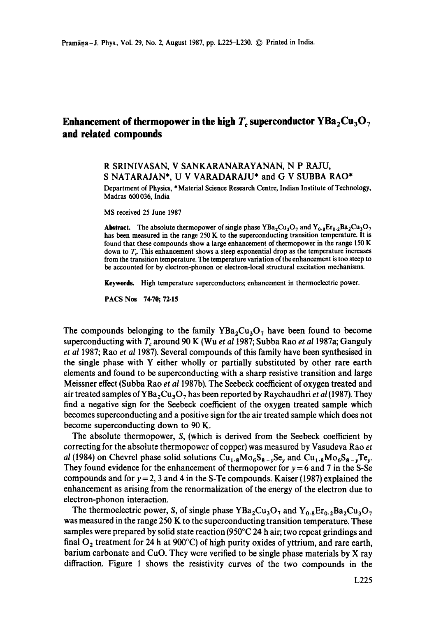## **Enhancement of thermopower in the high**  $T_c$  **superconductor**  $YBa_2Cu_3O_7$ **and related compounds**

## R SRINIVASAN, V SANKARANARAYANAN, N P RAJU, S NATARAJAN\*, U V VARADARAJU\* and G V SUBBA RAO\*

Department of Physics, \* Material Science Research Centre, Indian Institute of Technology, Madras 600036, India

MS received 25 June 1987

**Abstract.** The absolute thermopower of single phase  $YBa_2Cu_3O_7$  and  $Y_{0.8}Er_{0.2}Ba_2Cu_3O_7$ has been measured in the range 250 K to the superconducting transition temperature. It is found that these compounds show a large enhancement of thermopower in the range 150 K down to  $T_c$ . This enhancement shows a steep exponential drop as the temperature increases from the transition temperature. The temperature variation of the enhancement is too steep to be accounted for by electron-phonon or electron-local structural excitation mechanisms.

**Keywords.** High temperature superconductors; enhancement in thermoelectric power.

PACS Nos 74-70; 72.15

The compounds belonging to the family  $YBa_2Cu_3O_7$  have been found to become superconducting with T<sub>c</sub> around 90 K (Wu *et al* 1987; Subba Rao *et al* 1987a; Ganguly *et al* 1987; Rao *et al* 1987). Several compounds of this family have been synthesised in the single phase with Y either wholly or partially substituted by other rare earth elements and found to be superconducting with a sharp resistive transition and large Meissner effect (Subba Rao *et al* 1987b). The Seebeck coefficient of oxygen treated and air treated samples of YBa<sub>2</sub>Cu<sub>3</sub>O<sub>7</sub> has been reported by Raychaudhri *et al* (1987). They find a negative sign for the Seebeck coefficient of the oxygen treated sample which becomes superconducting and a positive sign for the air treated sample which does not become superconducting down to 90 K.

The absolute thermopower, S, (which is derived from the Seebeck coefficient by correcting for the absolute thermopower of copper) was measured by Vasudeva Rao *et al* (1984) on Chevrel phase solid solutions  $Cu_{1.8}Mo_{6}S_{8-y}Se_{y}$  and  $Cu_{1.8}Mo_{6}S_{8-y}Te_{y}$ . They found evidence for the enhancement of thermopower for  $y = 6$  and 7 in the S-Se compounds and for  $y = 2$ , 3 and 4 in the S-Te compounds. Kaiser (1987) explained the enhancement as arising from the renormalization of the energy of the electron due to electron-phonon interaction.

The thermoelectric power, S, of single phase  $YBa_2Cu_3O_7$  and  $Y_{0.8}Er_{0.2}Ba_2Cu_3O_7$ was measured in the range 250 K to the superconducting transition temperature. These samples were prepared by solid state reaction  $(950^{\circ}C \cdot 24)$  h air; two repeat grindings and final  $O_2$  treatment for 24 h at 900°C) of high purity oxides of yttrium, and rare earth, barium carbonate and CuO. They were verified to be single phase materials by X ray diffraction. Figure 1 shows the resistivity curves of the two compounds in the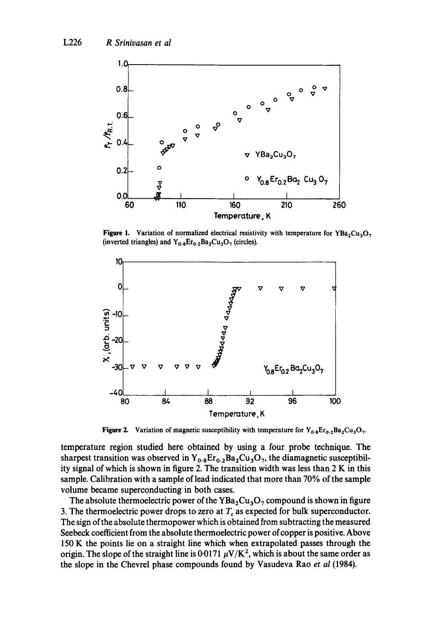

Figure 1. Variation of normalized electrical resistivity with temperature for YBa<sub>2</sub>Cu<sub>3</sub>O<sub>7</sub> (inverted triangles) and  $Y_{0.8}Er_{0.2}Ba_2Cu_3O_7$  (circles).



**Figure 2.** Variation of magnetic susceptibility with temperature for  $Y_{0.8}Er_{0.2}Ba_2Cu_3O_7$ .

temperature region studied here obtained by using a four probe technique. The sharpest transition was observed in  $Y_{0.8}E_{10.2}Ba_2Cu_3O_7$ , the diamagnetic susceptibility signal of which is shown in figure 2. The transition width was less than 2 K in this sample. Calibration with a sample of lead indicated that more than 70% of the sample volume became superconducting in both cases.

The absolute thermoelectric power of the  $YBa<sub>2</sub>Cu<sub>3</sub>O<sub>7</sub>$  compound is shown in figure 3. The thermoelectric power drops to zero at  $T_c$  as expected for bulk superconductor. The sign of the absolute thermopower which is obtained from subtracting the measured Seebeck coefficient from the absolute thermoelectric power of copper is positive. Above 150 K the points lie on a straight line which when extrapolated passes through the origin. The slope of the straight line is 0.0171  $\mu$ V/K<sup>2</sup>, which is about the same order as the slope in the Chevrel phase compounds found by Vasudeva Rao *et al* (1984).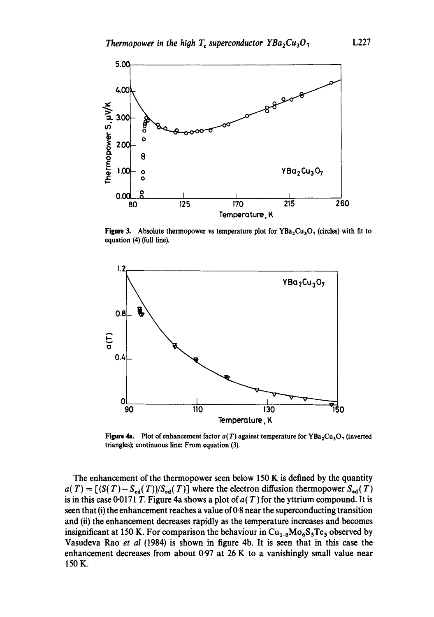

Figure 3. Absolute thermopower vs temperature plot for  $YBa<sub>2</sub>Cu<sub>3</sub>O<sub>7</sub>$  (circles) with fit to equation (4) (full line).



Figure 4a. Plot of enhancement factor  $a(T)$  against temperature for YBa<sub>2</sub>Cu<sub>3</sub>O<sub>7</sub> (inverted triangles); continuous line: From equation (3).

The enhancement of the thermopower seen below 150 K is defined by the quantity  $a(T) = [(S(T) - S_{ed}(T))/S_{ed}(T)]$  where the electron diffusion thermopower  $S_{ed}(T)$ is in this case 0.0171 T. Figure 4a shows a plot of  $a(T)$  for the yttrium compound. It is seen that (i) the enhancement reaches a value of  $0.8$  near the superconducting transition and (ii) the enhancement decreases rapidly as the temperature increases and becomes insignificant at 150 K. For comparison the behaviour in  $Cu_{1,8}Mo_{6}S_{5}Te_{3}$  observed by Vasudeva Rao *et al* (1984) is shown in figure 4b. It is seen that in this case the enhancement decreases from about  $0.97$  at  $26$  K to a vanishingly small value near 150 K.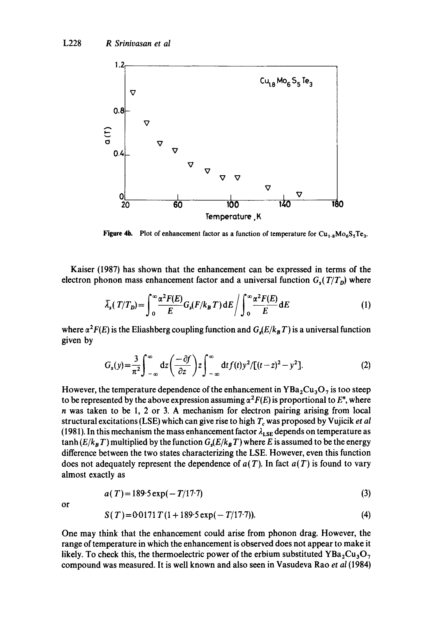

**Figure 4b.** Plot of enhancement factor as a function of temperature for  $Cu_{1.8}Mo_6S_5Te_3$ .

Kaiser (1987) has shown that the enhancement can be expressed in terms of the electron phonon mass enhancement factor and a universal function  $G_s(T/T_p)$  where

$$
\bar{\lambda}_s(T/T_D) = \int_0^\infty \frac{\alpha^2 F(E)}{E} G_s(F/k_B T) dE / \int_0^\infty \frac{\alpha^2 F(E)}{E} dE
$$
 (1)

where  $\alpha^2F(E)$  is the Eliashberg coupling function and  $G_s(E/k_B T)$  is a universal function given by

$$
G_s(y) = \frac{3}{\pi^2} \int_{-\infty}^{\infty} dz \left( \frac{-\partial f}{\partial z} \right) z \int_{-\infty}^{\infty} dt f(t) y^2 / [(t-z)^2 - y^2].
$$
 (2)

However, the temperature dependence of the enhancement in  $YBa<sub>2</sub>Cu<sub>3</sub>O<sub>7</sub>$  is too steep to be represented by the above expression assuming  $\alpha^2F(E)$  is proportional to E<sup>n</sup>, where n was taken to be 1, 2 or 3. A mechanism for electron pairing arising from local structural excitations (LSE) which can give rise to high T, was proposed by Vujicik *et al*  (1981). In this mechanism the mass enhancement factor  $\lambda_{LSE}$  depends on temperature as  $\tanh(E/k_B T)$  multiplied by the function  $G_s(E/k_B T)$  where E is assumed to be the energy difference between the two states characterizing the LSE. However, even this function does not adequately represent the dependence of  $a(T)$ . In fact  $a(T)$  is found to vary almost exactly as

$$
a(T) = 189.5 \exp(-T/17.7) \tag{3}
$$

or

$$
S(T) = 0.0171 T (1 + 189.5 \exp(-T/17.7)). \tag{4}
$$

One may think that the enhancement could arise from phonon drag. However, the range of temperature in which the enhancement is observed does not appear to make it likely. To check this, the thermoelectric power of the erbium substituted YBa<sub>2</sub>Cu<sub>3</sub>O<sub>7</sub> compound was measured. It is well known and also seen in Vasudeva Rao *et al* (1984)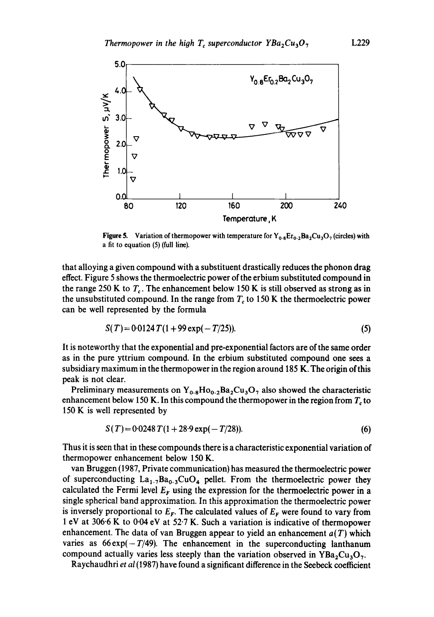

Figure 5. Variation of thermopower with temperature for  $Y_{0.8}E_{T_{0.2}}Ba_2Cu_3O_7$  (circles) with a fit to equation (5) (full line).

that alloying a given compound with a substituent drastically reduces the phonon drag effect. Figure 5 shows the thermoelectric power of the erbium substituted compound in the range 250 K to  $T_c$ . The enhancement below 150 K is still observed as strong as in the unsubstituted compound. In the range from  $T_c$  to 150 K the thermoelectric power can be well represented by the formula

$$
S(T) = 0.0124 T(1 + 99 \exp(-T/25)).
$$
\n(5)

It is noteworthy that the exponential and pre-exponential factors are of the same order as in the pure yttrium compound. In the erbium substituted compound one sees a subsidiary maximum in the thermopower in the region around 185 K. The origin of this peak is not clear.

Preliminary measurements on  $Y_{0.8}Ho_{0.2}Ba_2Cu_3O_7$  also showed the characteristic enhancement below 150 K. In this compound the thermopower in the region from  $T<sub>c</sub>$  to 150 K is well represented by

$$
S(T) = 0.0248 T(1 + 28.9 \exp(-T/28)).
$$
 (6)

Thus it is seen that in these compounds there is a characteristic exponential variation of thermopower enhancement below 150 K.

van Bruggen (1987, Private communication) has measured the thermoelectric power of superconducting  $La_{1.7}Ba_{0.3}CuO_4$  pellet. From the thermoelectric power they calculated the Fermi level  $E_F$  using the expression for the thermoelectric power in a single spherical band approximation. In this approximation the thermoelectric power is inversely proportional to  $E_F$ . The calculated values of  $E_F$  were found to vary from 1 eV at 306-6 K to 0.04 eV at 52-7 K. Such a variation is indicative of thermopower enhancement. The data of van Bruggen appear to yield an enhancement  $a(T)$  which varies as  $66 \exp(-T/49)$ . The enhancement in the superconducting lanthanum compound actually varies less steeply than the variation observed in  $YBa<sub>2</sub>Cu<sub>3</sub>O<sub>7</sub>$ .

Raychaudhri *et al* (1987) have found a significant difference in the Seebeck coefficient